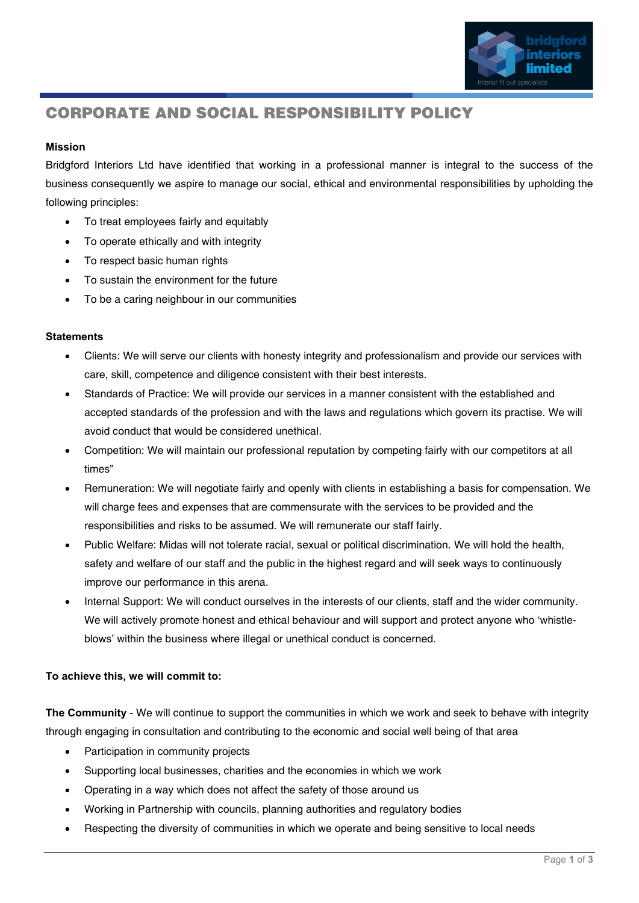

## **CORPORATE AND SOCIAL RESPONSIBILITY POLICY**

## Mission

Bridgford Interiors Ltd have identified that working in a professional manner is integral to the success of the business consequently we aspire to manage our social, ethical and environmental responsibilities by upholding the following principles:

- To treat employees fairly and equitably
- To operate ethically and with integrity
- To respect basic human rights
- To sustain the environment for the future
- To be a caring neighbour in our communities

## **Statements**

- Clients: We will serve our clients with honesty integrity and professionalism and provide our services with care, skill, competence and diligence consistent with their best interests.
- Standards of Practice: We will provide our services in a manner consistent with the established and accepted standards of the profession and with the laws and regulations which govern its practise. We will avoid conduct that would be considered unethical.
- Competition: We will maintain our professional reputation by competing fairly with our competitors at all times"
- Remuneration: We will negotiate fairly and openly with clients in establishing a basis for compensation. We will charge fees and expenses that are commensurate with the services to be provided and the responsibilities and risks to be assumed. We will remunerate our staff fairly.
- Public Welfare: Midas will not tolerate racial, sexual or political discrimination. We will hold the health, safety and welfare of our staff and the public in the highest regard and will seek ways to continuously improve our performance in this arena.
- Internal Support: We will conduct ourselves in the interests of our clients, staff and the wider community. We will actively promote honest and ethical behaviour and will support and protect anyone who 'whistleblows' within the business where illegal or unethical conduct is concerned.

## To achieve this, we will commit to:

The Community - We will continue to support the communities in which we work and seek to behave with integrity through engaging in consultation and contributing to the economic and social well being of that area

- Participation in community projects
- Supporting local businesses, charities and the economies in which we work
- Operating in a way which does not affect the safety of those around us
- Working in Partnership with councils, planning authorities and regulatory bodies
- Respecting the diversity of communities in which we operate and being sensitive to local needs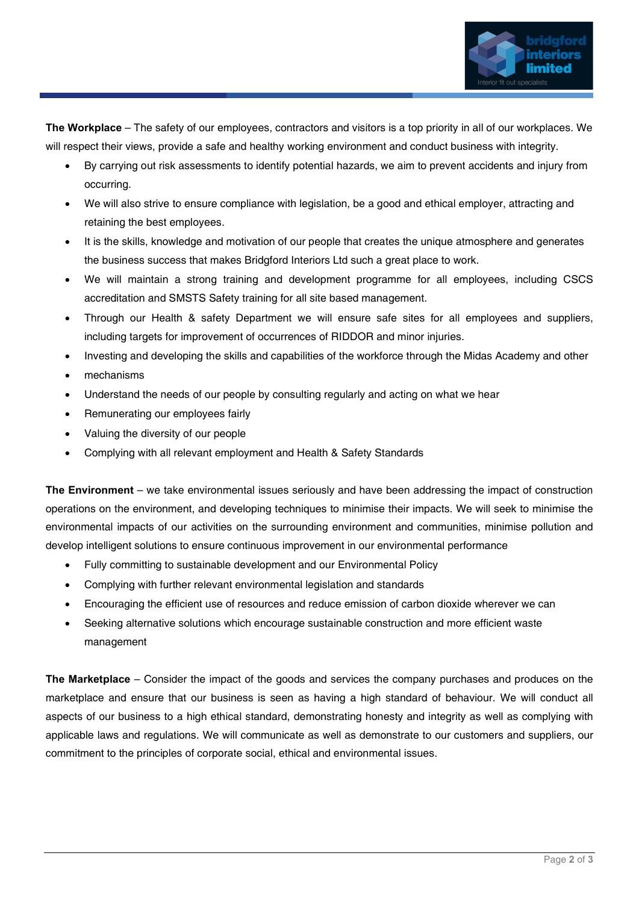

The Workplace – The safety of our employees, contractors and visitors is a top priority in all of our workplaces. We will respect their views, provide a safe and healthy working environment and conduct business with integrity.

- By carrying out risk assessments to identify potential hazards, we aim to prevent accidents and injury from occurring.
- We will also strive to ensure compliance with legislation, be a good and ethical employer, attracting and retaining the best employees.
- It is the skills, knowledge and motivation of our people that creates the unique atmosphere and generates the business success that makes Bridgford Interiors Ltd such a great place to work.
- We will maintain a strong training and development programme for all employees, including CSCS accreditation and SMSTS Safety training for all site based management.
- Through our Health & safety Department we will ensure safe sites for all employees and suppliers, including targets for improvement of occurrences of RIDDOR and minor injuries.
- Investing and developing the skills and capabilities of the workforce through the Midas Academy and other
- mechanisms
- Understand the needs of our people by consulting regularly and acting on what we hear
- Remunerating our employees fairly
- Valuing the diversity of our people
- Complying with all relevant employment and Health & Safety Standards

The Environment – we take environmental issues seriously and have been addressing the impact of construction operations on the environment, and developing techniques to minimise their impacts. We will seek to minimise the environmental impacts of our activities on the surrounding environment and communities, minimise pollution and develop intelligent solutions to ensure continuous improvement in our environmental performance

- Fully committing to sustainable development and our Environmental Policy
- Complying with further relevant environmental legislation and standards
- Encouraging the efficient use of resources and reduce emission of carbon dioxide wherever we can
- Seeking alternative solutions which encourage sustainable construction and more efficient waste management

The Marketplace – Consider the impact of the goods and services the company purchases and produces on the marketplace and ensure that our business is seen as having a high standard of behaviour. We will conduct all aspects of our business to a high ethical standard, demonstrating honesty and integrity as well as complying with applicable laws and regulations. We will communicate as well as demonstrate to our customers and suppliers, our commitment to the principles of corporate social, ethical and environmental issues.